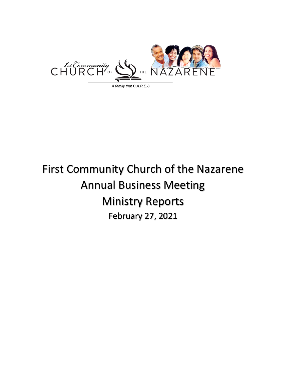

# First Community Church of the Nazarene Annual Business Meeting Ministry Reports February 27, 2021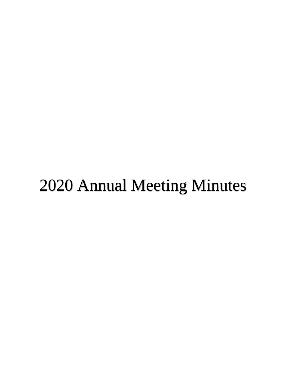# 2020 Annual Meeting Minutes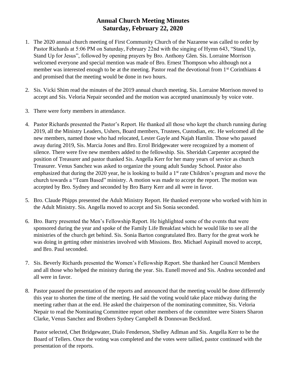# **Annual Church Meeting Minutes Saturday, February 22, 2020**

- 1. The 2020 annual church meeting of First Community Church of the Nazarene was called to order by Pastor Richards at 5:06 PM on Saturday, February 22nd with the singing of Hymn 643, "Stand Up, Stand Up for Jesus", followed by opening prayers by Bro. Anthony Glen. Sis. Lorraine Morrison welcomed everyone and special mention was made of Bro. Ernest Thompson who although not a member was interested enough to be at the meeting. Pastor read the devotional from 1<sup>st</sup> Corinthians 4 and promised that the meeting would be done in two hours.
- 2. Sis. Vicki Shim read the minutes of the 2019 annual church meeting. Sis. Lorraine Morrison moved to accept and Sis. Veloria Nepair seconded and the motion was accepted unanimously by voice vote.
- 3. There were forty members in attendance.
- 4. Pastor Richards presented the Pastor's Report. He thanked all those who kept the church running during 2019, all the Ministry Leaders, Ushers, Board members, Trustees, Custodian, etc. He welcomed all the new members, named those who had relocated, Lester Gayle and Najah Hamlin. Those who passed away during 2019, Sis. Marcia Jones and Bro. Errol Bridgewater were recognized by a moment of silence. There were five new members added to the fellowship. Sis. Sheridah Carpenter accepted the position of Treasurer and pastor thanked Sis. Angella Kerr for her many years of service as church Treasurer. Venus Sanchez was asked to organize the young adult Sunday School. Pastor also emphasized that during the 2020 year, he is looking to build a 1<sup>st</sup> rate Children's program and move the church towards a "Team Based" ministry. A motion was made to accept the report. The motion was accepted by Bro. Sydney and seconded by Bro Barry Kerr and all were in favor.
- 5. Bro. Claude Phipps presented the Adult Ministry Report. He thanked everyone who worked with him in the Adult Ministry. Sis. Angella moved to accept and Sis Sonia seconded.
- 6. Bro. Barry presented the Men's Fellowship Report. He highlighted some of the events that were sponsored during the year and spoke of the Family Life Breakfast which he would like to see all the ministries of the church get behind. Sis. Sonia Barton congratulated Bro. Barry for the great work he was doing in getting other ministries involved with Missions. Bro. Michael Aspinall moved to accept, and Bro. Paul seconded.
- 7. Sis. Beverly Richards presented the Women's Fellowship Report. She thanked her Council Members and all those who helped the ministry during the year. Sis. Eunell moved and Sis. Andrea seconded and all were in favor.
- 8. Pastor paused the presentation of the reports and announced that the meeting would be done differently this year to shorten the time of the meeting. He said the voting would take place midway during the meeting rather than at the end. He asked the chairperson of the nominating committee, Sis. Veloria Nepair to read the Nominating Committee report other members of the committee were Sisters Sharon Clarke, Venus Sanchez and Brothers Sydney Campbell & Donnovan Beckford.

Pastor selected, Chet Bridgewater, Dialo Fenderson, Shelley Adlman and Sis. Angella Kerr to be the Board of Tellers. Once the voting was completed and the votes were tallied, pastor continued with the presentation of the reports.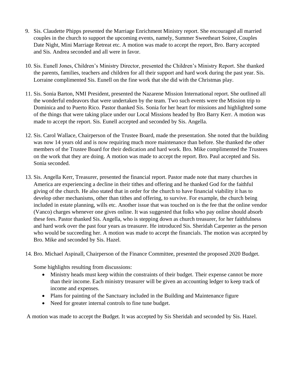- 9. Sis. Claudette Phipps presented the Marriage Enrichment Ministry report. She encouraged all married couples in the church to support the upcoming events, namely, Summer Sweetheart Soiree, Couples Date Night, Mini Marriage Retreat etc. A motion was made to accept the report, Bro. Barry accepted and Sis. Andrea seconded and all were in favor.
- 10. Sis. Eunell Jones, Children's Ministry Director, presented the Children's Ministry Report. She thanked the parents, families, teachers and children for all their support and hard work during the past year. Sis. Lorraine complimented Sis. Eunell on the fine work that she did with the Christmas play.
- 11. Sis. Sonia Barton, NMI President, presented the Nazarene Mission International report. She outlined all the wonderful endeavors that were undertaken by the team. Two such events were the Mission trip to Dominica and to Puerto Rico. Pastor thanked Sis. Sonia for her heart for missions and highlighted some of the things that were taking place under our Local Missions headed by Bro Barry Kerr. A motion was made to accept the report. Sis. Eunell accepted and seconded by Sis. Angella.
- 12. Sis. Carol Wallace, Chairperson of the Trustee Board, made the presentation. She noted that the building was now 14 years old and is now requiring much more maintenance than before. She thanked the other members of the Trustee Board for their dedication and hard work. Bro. Mike complimented the Trustees on the work that they are doing. A motion was made to accept the report. Bro. Paul accepted and Sis. Sonia seconded.
- 13. Sis. Angella Kerr, Treasurer, presented the financial report. Pastor made note that many churches in America are experiencing a decline in their tithes and offering and he thanked God for the faithful giving of the church. He also stated that in order for the church to have financial viability it has to develop other mechanisms, other than tithes and offering, to survive. For example, the church being included in estate planning, wills etc. Another issue that was touched on is the fee that the online vendor (Vanco) charges whenever one gives online. It was suggested that folks who pay online should absorb these fees. Pastor thanked Sis. Angella, who is stepping down as church treasurer, for her faithfulness and hard work over the past four years as treasurer. He introduced Sis. Sheridah Carpenter as the person who would be succeeding her. A motion was made to accept the financials. The motion was accepted by Bro. Mike and seconded by Sis. Hazel.
- 14. Bro. Michael Aspinall, Chairperson of the Finance Committee, presented the proposed 2020 Budget.

Some highlights resulting from discussions:

- Ministry heads must keep within the constraints of their budget. Their expense cannot be more than their income. Each ministry treasurer will be given an accounting ledger to keep track of income and expenses.
- Plans for painting of the Sanctuary included in the Building and Maintenance figure
- Need for greater internal controls to fine tune budget.

A motion was made to accept the Budget. It was accepted by Sis Sheridah and seconded by Sis. Hazel.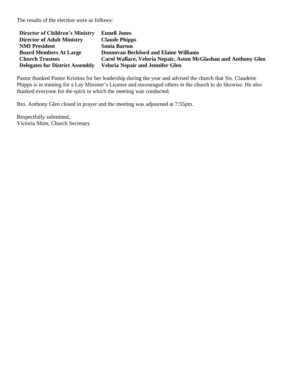The results of the election were as follows:

| <b>Director of Children's Ministry</b> | <b>Eunell Jones</b>                                             |
|----------------------------------------|-----------------------------------------------------------------|
| <b>Director of Adult Ministry</b>      | <b>Claude Phipps</b>                                            |
| <b>NMI President</b>                   | <b>Sonia Barton</b>                                             |
| <b>Board Members At Large</b>          | <b>Donnovan Beckford and Elaine Williams</b>                    |
| <b>Church Trustees</b>                 | Carol Wallace, Veloria Nepair, Aston McGlashan and Anthony Glen |
| <b>Delegates for District Assembly</b> | <b>Veloria Nepair and Jennifer Glen</b>                         |

Pastor thanked Pastor Kristina for her leadership during the year and advised the church that Sis. Claudette Phipps is in training for a Lay Minister's License and encouraged others in the church to do likewise. He also thanked everyone for the spirit in which the meeting was conducted.

Bro. Anthony Glen closed in prayer and the meeting was adjourned at 7:55pm.

Respectfully submitted, Victoria Shim, Church Secretary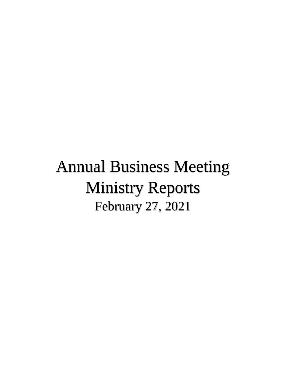# Annual Business Meeting Ministry Reports February 27, 2021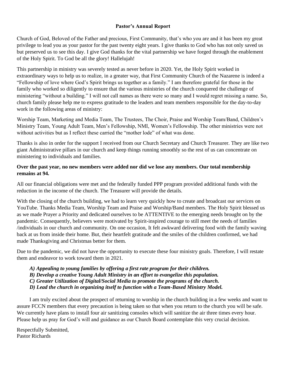#### **Pastor's Annual Report**

Church of God, Beloved of the Father and precious, First Community, that's who you are and it has been my great privilege to lead you as your pastor for the past twenty eight years. I give thanks to God who has not only saved us but preserved us to see this day. I give God thanks for the vital partnership we have forged through the enablement of the Holy Spirit. To God be all the glory! Hallelujah!

This partnership in ministry was severely tested as never before in 2020. Yet, the Holy Spirit worked in extraordinary ways to help us to realize, in a greater way, that First Community Church of the Nazarene is indeed a "Fellowship of love where God's Spirit brings us together as a family." I am therefore grateful for those in the family who worked so diligently to ensure that the various ministries of the church conquered the challenge of ministering "without a building." I will not call names as there were so many and I would regret missing a name. So, church family please help me to express gratitude to the leaders and team members responsible for the day-to-day work in the following areas of ministry:

Worship Team, Marketing and Media Team, The Trustees, The Choir, Praise and Worship Team/Band, Children's Ministry Team, Young Adult Team, Men's Fellowship, NMI, Women's Fellowship. The other ministries were not without activities but as I reflect these carried the "mother lode" of what was done.

Thanks is also in order for the support I received from our Church Secretary and Church Treasurer. They are like two giant Administrative pillars in our church and keep things running smoothly so the rest of us can concentrate on ministering to individuals and families.

#### **Over the past year, no new members were added nor did we lose any members. Our total membership remains at 94.**

All our financial obligations were met and the federally funded PPP program provided additional funds with the reduction in the income of the church. The Treasurer will provide the details.

With the closing of the church building, we had to learn very quickly how to create and broadcast our services on YouTube. Thanks Media Team, Worship Team and Praise and Worship/Band members. The Holy Spirit blessed us as we made Prayer a Priority and dedicated ourselves to be ATTENTIVE to the emerging needs brought on by the pandemic. Consequently, believers were motivated by Spirit-inspired courage to still meet the needs of families /individuals in our church and community. On one occasion, It felt awkward delivering food with the family waving back at us from inside their home. But, their heartfelt gratitude and the smiles of the children confirmed, we had made Thanksgiving and Christmas better for them.

Due to the pandemic, we did not have the opportunity to execute these four ministry goals. Therefore, I will restate them and endeavor to work toward them in 2021.

*A) Appealing to young families by offering a first rate program for their children. B) Develop a creative Young Adult Ministry in an effort to evangelize this population. C) Greater Utilization of Digital/Social Media to promote the programs of the church. D) Lead the church in organizing itself to function with a Team-Based Ministry Model.*

I am truly excited about the prospect of returning to worship in the church building in a few weeks and want to assure FCCN members that every precaution is being taken so that when you return to the church you will be safe. We currently have plans to install four air sanitizing consoles which will sanitize the air three times every hour. Please help us pray for God's will and guidance as our Church Board contemplate this very crucial decision.

Respectfully Submitted, Pastor Richards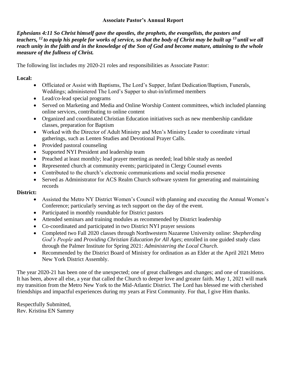### **Associate Pastor's Annual Report**

*Ephesians 4:11 So Christ himself gave the apostles, the prophets, the evangelists, the pastors and teachers, <sup>12</sup> to equip his people for works of service, so that the body of Christ may be built up <sup>13</sup> until we all reach unity in the faith and in the knowledge of the Son of God and become mature, attaining to the whole measure of the fullness of Christ.* 

The following list includes my 2020-21 roles and responsibilities as Associate Pastor:

# **Local:**

- Officiated or Assist with Baptisms, The Lord's Supper, Infant Dedication/Baptism, Funerals, Weddings; administered The Lord's Supper to shut-in/infirmed members
- Lead/co-lead special programs
- Served on Marketing and Media and Online Worship Content committees, which included planning online services, contributing to online content
- Organized and coordinated Christian Education initiatives such as new membership candidate classes, preparation for Baptism
- Worked with the Director of Adult Ministry and Men's Ministry Leader to coordinate virtual gatherings, such as Lenten Studies and Devotional Prayer Calls.
- Provided pastoral counseling
- Supported NYI President and leadership team
- Preached at least monthly; lead prayer meeting as needed; lead bible study as needed
- Represented church at community events; participated in Clergy Counsel events
- Contributed to the church's electronic communications and social media presence
- Served as Administrator for ACS Realm Church software system for generating and maintaining records

# **District:**

- Assisted the Metro NY District Women's Council with planning and executing the Annual Women's Conference; particularly serving as tech support on the day of the event.
- Participated in monthly roundtable for District pastors
- Attended seminars and training modules as recommended by District leadership
- Co-coordinated and participated in two District NYI prayer sessions
- Completed two Fall 2020 classes through Northwestern Nazarene University online: *Shepherding God's People* and *Providing Christian Education for All Ages*; enrolled in one guided study class through the Palmer Institute for Spring 2021: *Administering the Local Church*.
- Recommended by the District Board of Ministry for ordination as an Elder at the April 2021 Metro New York District Assembly.

The year 2020-21 has been one of the unexpected; one of great challenges and changes; and one of transitions. It has been, above all else, a year that called the Church to deeper love and greater faith. May 1, 2021 will mark my transition from the Metro New York to the Mid-Atlantic District. The Lord has blessed me with cherished friendships and impactful experiences during my years at First Community. For that, I give Him thanks.

Respectfully Submitted, Rev. Kristina EN Sammy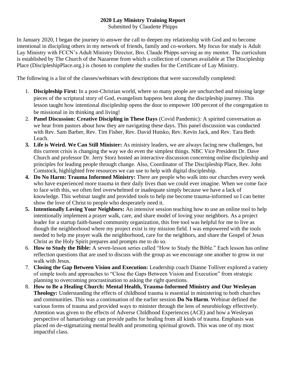# **2020 Lay Ministry Training Report**

Submitted by Claudette Phipps

In January 2020, I began the journey to answer the call to deepen my relationship with God and to become intentional in discipling others in my network of friends, family and co-workers. My focus for study is Adult Lay Ministry with FCCN's Adult Ministry Director, Bro. Claude Phipps serving as my mentor. The curriculum is established by The Church of the Nazarene from which a collection of courses available at The Discipleship Place (DiscipleshipPlace.org.) is chosen to complete the studies for the Certificate of Lay Ministry.

The following is a list of the classes/webinars with descriptions that were successfully completed:

- 1. **Discipleship First:** In a post-Christian world, where so many people are unchurched and missing large pieces of the scriptural story of God, evangelism happens best along the discipleship journey. This lesson taught how intentional discipleship opens the door to empower 100 percent of the congregation to be missional in its thinking and living!
- 2. **Panel Discussion: Creative Discipling in These Days** (Covid Pandemic): A spirited conversation as we hear from pastors about how they are navigating these days. This panel discussion was conducted with Rev. Sam Barber, Rev. Tim Fisher, Rev. David Hutsko, Rev. Kevin Jack, and Rev. Tara Beth Leach.
- **3. Life is Weird. We Can Still Minister:** As ministry leaders, we are always facing new challenges, but this current crisis is changing the way we do even the simplest things. NBC Vice President Dr. Dave Church and professor Dr. Jerry Storz hosted an interactive discussion concerning online discipleship and principles for leading people through change. Also, Coordinator of The Discipleship Place, Rev. John Comstock, highlighted free resources we can use to help with digital discipleship.
- **4. Do No Harm: Trauma Informed Ministry:** There are people who walk into our churches every week who have experienced more trauma in their daily lives than we could ever imagine. When we come face to face with this, we often feel overwhelmed or inadequate simply because we have a lack of knowledge. This webinar taught and provided tools to help me become trauma-informed so I can better show the love of Christ to people who desperately need it.
- **5. Intentionally Loving Your Neighbors:** An intensive session teaching how to use an online tool to help intentionally implement a prayer walk, care, and share model of loving your neighbors. As a project leader for a startup faith-based community organization, this free tool was helpful for me to live as though the neighborhood where my project exist is my mission field. I was empowered with the tools needed to help me prayer walk the neighborhood, care for the neighbors, and share the Gospel of Jesus Christ as the Holy Spirit prepares and prompts me to do so.
- 6. **How to Study the Bible:** A seven-lesson series called "How to Study the Bible." Each lesson has online reflection questions that are used to discuss with the group as we encourage one another to grow in our walk with Jesus.
- 7. **Closing the Gap Between Vision and Execution:** Leadership coach Dianne Tolliver explored a variety of simple tools and approaches to "Close the Gaps Between Vision and Execution" from strategic planning to overcoming procrastination to asking the right questions.
- 8. **How to Be a Healing Church: Mental Health, Trauma-Informed Ministry and Our Wesleyan Theology:** Understanding the effects of childhood trauma is essential in ministering to both churches and communities. This was a continuation of the earlier session **Do No Harm**. Webinar defined the various forms of trauma and provided ways to minister through the lens of neurobiology effectively. Attention was given to the effects of Adverse Childhood Experiences (ACE) and how a Wesleyan perspective of hamartiology can provide paths for healing from all kinds of trauma. Emphasis was placed on de-stigmatizing mental health and promoting spiritual growth. This was one of my most impactful class.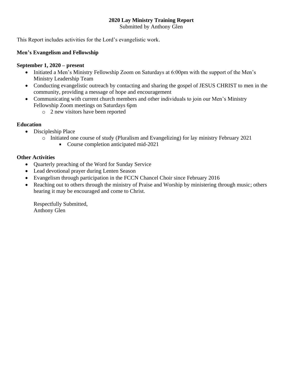# **2020 Lay Ministry Training Report**

Submitted by Anthony Glen

This Report includes activities for the Lord's evangelistic work.

# **Men's Evangelism and Fellowship**

### **September 1, 2020 – present**

- Initiated a Men's Ministry Fellowship Zoom on Saturdays at 6:00pm with the support of the Men's Ministry Leadership Team
- Conducting evangelistic outreach by contacting and sharing the gospel of JESUS CHRIST to men in the community, providing a message of hope and encouragement
- Communicating with current church members and other individuals to join our Men's Ministry Fellowship Zoom meetings on Saturdays 6pm
	- o 2 new visitors have been reported

# **Education**

- Discipleship Place
	- o Initiated one course of study (Pluralism and Evangelizing) for lay ministry February 2021
		- Course completion anticipated mid-2021

# **Other Activities**

- Quarterly preaching of the Word for Sunday Service
- Lead devotional prayer during Lenten Season
- Evangelism through participation in the FCCN Chancel Choir since February 2016
- Reaching out to others through the ministry of Praise and Worship by ministering through music; others hearing it may be encouraged and come to Christ.

Respectfully Submitted, Anthony Glen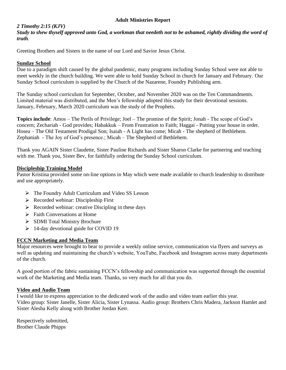#### **Adult Ministries Report**

#### *2 Timothy 2:15 (KJV)*

*Study to shew thyself approved unto God, a workman that needeth not to be ashamed, rightly dividing the word of truth.*

Greeting Brothers and Sisters in the name of our Lord and Savior Jesus Christ.

#### **Sunday School**

Due to a paradigm shift caused by the global pandemic, many programs including Sunday School were not able to meet weekly in the church building. We were able to hold Sunday School in church for January and February. Our Sunday School curriculum is supplied by the Church of the Nazarene, Foundry Publishing arm.

The Sunday school curriculum for September, October, and November 2020 was on the Ten Commandments. Limited material was distributed, and the Men's fellowship adopted this study for their devotional sessions. January, February, March 2020 curriculum was the study of the Prophets.

**Topics include**: Amos – The Perils of Privilege; Joel – The promise of the Spirit; Jonah - The scope of God's concern; Zechariah - God provides; Habakkuk – From Frustration to Faith; Haggai - Putting your house in order. Hosea – The Old Testament Prodigal Son; Isaiah - A Light has come; Micah - The shepherd of Bethlehem. Zephaniah - The Joy of God's presence.; Micah – The Shepherd of Bethlehem.

Thank you AGAIN Sister Claudette, Sister Pauline Richards and Sister Sharon Clarke for partnering and teaching with me. Thank you, Sister Bev, for faithfully ordering the Sunday School curriculum.

#### **Discipleship Training Model**

Pastor Kristina provided some on-line options in May which were made available to church leadership to distribute and use appropriately.

- $\triangleright$  The Foundry Adult Curriculum and Video SS Lesson
- $\triangleright$  Recorded webinar: Discipleship First
- $\triangleright$  Recorded webinar: creative Discipling in these days
- $\triangleright$  Faith Conversations at Home
- > SDMI Total Ministry Brochure
- 14-day devotional guide for COVID 19

#### **FCCN Marketing and Media Team**

Major resources were brought to bear to provide a weekly online service, communication via flyers and surveys as well as updating and maintaining the church's website, YouTube, Facebook and Instagram across many departments of the church.

A good portion of the fabric sustaining FCCN's fellowship and communication was supported through the essential work of the Marketing and Media team. Thanks, so very much for all that you do.

#### **Video and Audio Team**

I would like to express appreciation to the dedicated work of the audio and video team earlier this year. Video group: Sister Janelle, Sister Alicia, Sister Lynassa. Audio group: Brothers Chris Madera, Jackson Hamlet and Sister Alesha Kelly along with Brother Jordan Kerr.

Respectively submitted, Brother Claude Phipps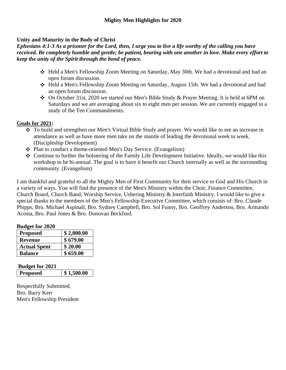# **Unity and Maturity in the Body of Christ**

*Ephesians 4:1-3 As a prisoner for the Lord, then, I urge you to live a life worthy of the calling you have received. Be completely humble and gentle; be patient, bearing with one another in love. Make every effort to keep the unity of the Spirit through the bond of peace.*

- Held a Men's Fellowship Zoom Meeting on Saturday, May 30th. We had a devotional and had an open forum discussion.
- Held a Men's Fellowship Zoom Meeting on Saturday, August 15th. We had a devotional and had an open forum discussion.
- On October 31st, 2020 we started our Men's Bible Study & Prayer Meeting. It is held at 6PM on Saturdays and we are averaging about six to eight men per session. We are currently engaged in a study of the Ten Commandments.

# **Goals for 2021:**

- To build and strengthen our Men's Virtual Bible Study and prayer. We would like to see an increase in attendance as well as have more men take on the mantle of leading the devotional week to week. (Discipleship Development)
- Plan to conduct a theme-oriented Men's Day Service. (Evangelism)
- $\div$  Continue to further the bolstering of the Family Life Development Initiative. Ideally, we would like this workshop to be bi-annual. The goal is to have it benefit our Church internally as well as the surrounding community. (Evangelism)

I am thankful and grateful to all the Mighty Men of First Community for their service to God and His Church in a variety of ways. You will find the presence of the Men's Ministry within the Choir, Finance Committee, Church Board, Church Band, Worship Service, Ushering Ministry & Interfaith Ministry. I would like to give a special thanks to the members of the Men's Fellowship Executive Committee, which consists of: Bro. Claude Phipps, Bro. Michael Aspinall, Bro. Sydney Campbell, Bro. Sol Funny, Bro. Geoffrey Anderson, Bro. Armando Acosta, Bro. Paul Jones & Bro. Donovan Beckford.

| <b>Budget for 2020</b> |            |  |  |  |  |
|------------------------|------------|--|--|--|--|
| <b>Proposed</b>        | \$2,000.00 |  |  |  |  |
| <b>Revenue</b>         | \$679.00   |  |  |  |  |
| <b>Actual Spent</b>    | \$20.00    |  |  |  |  |
| <b>Balance</b>         | \$659.00   |  |  |  |  |

| <b>Budget for 2021</b> |                |
|------------------------|----------------|
| <b>Proposed</b>        | $\$\,1,500.00$ |

Respectfully Submitted, Bro. Barry Kerr Men's Fellowship President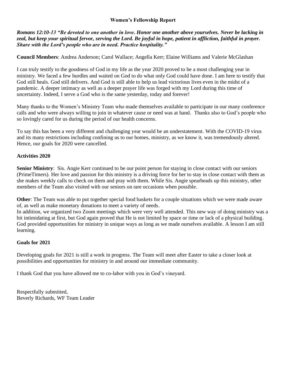#### **Women's Fellowship Report**

*Romans 12:10-13 "Be devoted to one another in love. Honor one another above yourselves. Never be lacking in zeal, but keep your spiritual fervor, serving the Lord. Be joyful in hope, patient in affliction, faithful in prayer. Share with the Lord's people who are in need. Practice hospitality."*

**Council Members**: Andrea Anderson; Carol Wallace; Angella Kerr; Elaine Williams and Valerie McGlashan

I can truly testify to the goodness of God in my life as the year 2020 proved to be a most challenging year in ministry. We faced a few hurdles and waited on God to do what only God could have done. I am here to testify that God still heals. God still delivers. And God is still able to help us lead victorious lives even in the midst of a pandemic. A deeper intimacy as well as a deeper prayer life was forged with my Lord during this time of uncertainty. Indeed, I serve a God who is the same yesterday, today and forever!

Many thanks to the Women's Ministry Team who made themselves available to participate in our many conference calls and who were always willing to join in whatever cause or need was at hand. Thanks also to God's people who so lovingly cared for us during the period of our health concerns.

To say this has been a very different and challenging year would be an understatement. With the COVID-19 virus and its many restrictions including confining us to our homes, ministry, as we know it, was tremendously altered. Hence, our goals for 2020 were cancelled.

#### **Activities 2020**

**Senior Ministry**: Sis. Angie Kerr continued to be our point person for staying in close contact with our seniors (PrimeTimers). Her love and passion for this ministry is a driving force for her to stay in close contact with them as she makes weekly calls to check on them and pray with them. While Sis. Angie spearheads up this ministry, other members of the Team also visited with our seniors on rare occasions when possible.

**Other**: The Team was able to put together special food baskets for a couple situations which we were made aware of, as well as make monetary donations to meet a variety of needs.

In addition, we organized two Zoom meetings which were very well attended. This new way of doing ministry was a bit intimidating at first, but God again proved that He is not limited by space or time or lack of a physical building. God provided opportunities for ministry in unique ways as long as we made ourselves available. A lesson I am still learning.

#### **Goals for 2021**

Developing goals for 2021 is still a work in progress. The Team will meet after Easter to take a closer look at possibilities and opportunities for ministry in and around our immediate community.

I thank God that you have allowed me to co-labor with you in God's vineyard.

Respectfully submitted, Beverly Richards, WF Team Leader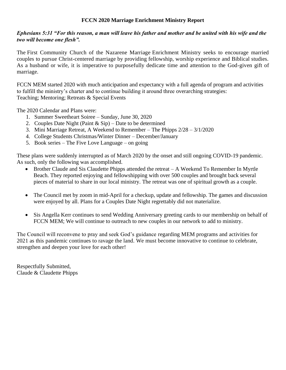#### **FCCN 2020 Marriage Enrichment Ministry Report**

#### *Ephesians 5:31 "For this reason, a man will leave his father and mother and be united with his wife and the two will become one flesh".*

The First Community Church of the Nazarene Marriage Enrichment Ministry seeks to encourage married couples to pursue Christ-centered marriage by providing fellowship, worship experience and Biblical studies. As a husband or wife, it is imperative to purposefully dedicate time and attention to the God-given gift of marriage.

FCCN MEM started 2020 with much anticipation and expectancy with a full agenda of program and activities to fulfill the ministry's charter and to continue building it around three overarching strategies: Teaching; Mentoring; Retreats & Special Events

The 2020 Calendar and Plans were:

- 1. Summer Sweetheart Soiree Sunday, June 30, 2020
- 2. Couples Date Night (Paint  $&$  Sip) Date to be determined
- 3. Mini Marriage Retreat, A Weekend to Remember The Phipps 2/28 3/1/2020
- 4. College Students Christmas/Winter Dinner December/January
- 5. Book series The Five Love Language on going

These plans were suddenly interrupted as of March 2020 by the onset and still ongoing COVID-19 pandemic. As such, only the following was accomplished.

- Brother Claude and Sis Claudette Phipps attended the retreat A Weekend To Remember In Myrtle Beach. They reported enjoying and fellowshipping with over 500 couples and brought back several pieces of material to share in our local ministry. The retreat was one of spiritual growth as a couple.
- The Council met by zoom in mid-April for a checkup, update and fellowship. The games and discussion were enjoyed by all. Plans for a Couples Date Night regrettably did not materialize.
- Sis Angella Kerr continues to send Wedding Anniversary greeting cards to our membership on behalf of FCCN MEM; We will continue to outreach to new couples in our network to add to ministry.

The Council will reconvene to pray and seek God's guidance regarding MEM programs and activities for 2021 as this pandemic continues to ravage the land. We must become innovative to continue to celebrate, strengthen and deepen your love for each other!

Respectfully Submitted, Claude & Claudette Phipps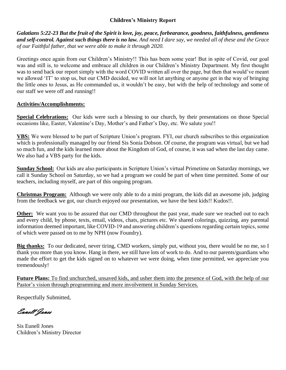# **Children's Ministry Report**

*Galatians 5:22-23 But the fruit of the Spirit is love, joy, peace, forbearance, goodness, faithfulness, gentleness and self-control. Against such things there is no law. And need I dare say, we needed all of these and the Grace of our Faithful father, that we were able to make it through 2020.*

Greetings once again from our Children's Ministry!! This has been some year! But in spite of Covid, our goal was and still is, to welcome and embrace all children in our Children's Ministry Department. My first thought was to send back our report simply with the word COVID written all over the page, but then that would've meant we allowed 'IT' to stop us, but our CMD decided, we will not let anything or anyone get in the way of bringing the little ones to Jesus, as He commanded us, it wouldn't be easy, but with the help of technology and some of our staff we were off and running!!

#### **Activities/Accomplishments:**

**Special Celebrations:** Our kids were such a blessing to our church, by their presentations on those Special occasions like, Easter, Valentine's Day, Mother's and Father's Day, etc. We salute you!!

**VBS:** We were blessed to be part of Scripture Union's program. FYI, our church subscribes to this organization which is professionally managed by our friend Sis Sonia Dobson. Of course, the program was virtual, but we had so much fun, and the kids learned more about the Kingdom of God, of course, it was sad when the last day came. We also had a VBS party for the kids.

**Sunday School:** Our kids are also participants in Scripture Union's virtual Primetime on Saturday mornings, we call it Sunday School on Saturday, so we had a program we could be part of when time permitted. Some of our teachers, including myself, are part of this ongoing program.

**Christmas Program:** Although we were only able to do a mini program, the kids did an awesome job, judging from the feedback we got, our church enjoyed our presentation, we have the best kids!! Kudos!!.

**Other:** We want you to be assured that our CMD throughout the past year, made sure we reached out to each and every child, by phone, texts, email, videos, chats, pictures etc. We shared colorings, quizzing, any parental information deemed important, like COVID-19 and answering children's questions regarding certain topics, some of which were passed on to me by NPH (now Foundry).

**Big thanks:** To our dedicated, never tiring, CMD workers, simply put, without you, there would be no me, so I thank you more than you know. Hang in there, we still have lots of work to do. And to our parents/guardians who made the effort to get the kids signed on to whatever we were doing, when time permitted, we appreciate you tremendously!

**Future Plans:** To find unchurched, unsaved kids, and usher them into the presence of God, with the help of our Pastor's vision through programming and more involvement in Sunday Services.

Respectfully Submitted,

Eunell Jones

Sis Eunell Jones Children's Ministry Director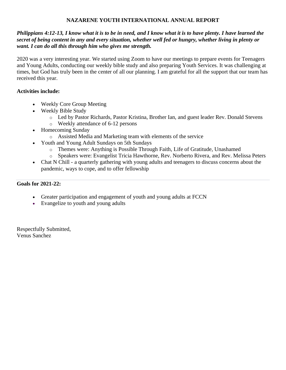# **NAZARENE YOUTH INTERNATIONAL ANNUAL REPORT**

### *Philippians 4:12-13, I know what it is to be in need, and I know what it is to have plenty. I have learned the secret of being content in any and every situation, whether well fed or hungry, whether living in plenty or want. I can do all this through him who gives me strength.*

2020 was a very interesting year. We started using Zoom to have our meetings to prepare events for Teenagers and Young Adults, conducting our weekly bible study and also preparing Youth Services. It was challenging at times, but God has truly been in the center of all our planning. I am grateful for all the support that our team has received this year.

# **Activities include:**

- Weekly Core Group Meeting
- Weekly Bible Study
	- o Led by Pastor Richards, Pastor Kristina, Brother Ian, and guest leader Rev. Donald Stevens o Weekly attendance of 6-12 persons
- Homecoming Sunday
	- o Assisted Media and Marketing team with elements of the service
- Youth and Young Adult Sundays on 5th Sundays
	- o Themes were: Anything is Possible Through Faith, Life of Gratitude, Unashamed
	- o Speakers were: Evangelist Tricia Hawthorne, Rev. Norberto Rivera, and Rev. Melissa Peters
- Chat N Chill a quarterly gathering with young adults and teenagers to discuss concerns about the pandemic, ways to cope, and to offer fellowship

#### **Goals for 2021-22:**

- Greater participation and engagement of youth and young adults at FCCN
- Evangelize to youth and young adults

Respectfully Submitted, Venus Sanchez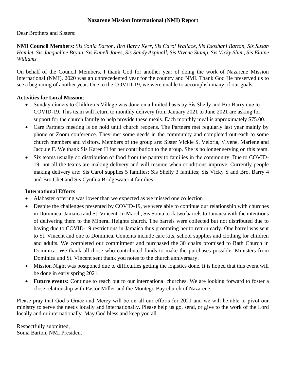#### **Nazarene Mission International (NMI) Report**

Dear Brothers and Sisters:

**NMI Council Members**: *Sis Sonia Barton, Bro Barry Kerr, Sis Carol Wallace, Sis Esoshani Barton, Sis Susan Hamlet, Sis Jacqueline Bryan, Sis Eunell Jones, Sis Sandy Aspinall, Sis Vivene Stamp, Sis Vicky Shim, Sis Elaine Williams*

On behalf of the Council Members, I thank God for another year of doing the work of Nazarene Mission International (NMI). 2020 was an unprecedented year for the country and NMI. Thank God He preserved us to see a beginning of another year. Due to the COVID-19, we were unable to accomplish many of our goals.

# **Activities for Local Mission**:

- Sunday dinners to Children's Village was done on a limited basis by Sis Shelly and Bro Barry due to COVID-19. This team will return to monthly delivery from January 2021 to June 2021 are asking for support for the church family to help provide these meals. Each monthly meal is approximately \$75.00.
- Care Partners meeting is on hold until church reopens. The Partners met regularly last year mainly by phone or Zoom conference. They met some needs in the community and completed outreach to some church members and visitors. Members of the group are: Sister Vickie S, Veloria, Vivene, Marlene and Jacquie F. We thank Sis Karen H for her contribution to the group. She is no longer serving on this team.
- Six teams usually do distribution of food from the pantry to families in the community. Due to COVID-19, not all the teams are making delivery and will resume when conditions improve. Currently people making delivery are: Sis Carol supplies 5 families; Sis Shelly 3 families; Sis Vicky S and Bro. Barry 4 and Bro Chet and Sis Cynthia Bridgewater 4 families.

# **International Efforts**:

- Alabaster offering was lower than we expected as we missed one collection
- Despite the challenges presented by COVID-19, we were able to continue our relationship with churches in Dominica, Jamaica and St. Vincent. In March, Sis Sonia took two barrels to Jamaica with the intentions of delivering them to the Mineral Heights church. The barrels were collected but not distributed due to having due to COVID-19 restrictions in Jamaica thus prompting her to return early. One barrel was sent to St. Vincent and one to Dominica. Contents include care kits, school supplies and clothing for children and adults. We completed our commitment and purchased the 30 chairs promised to Bath Church in Dominica. We thank all those who contributed funds to make the purchases possible. Ministers from Dominica and St. Vincent sent thank you notes to the church anniversary.
- Mission Night was postponed due to difficulties getting the logistics done. It is hoped that this event will be done in early spring 2021.
- **Future events:** Continue to reach out to our international churches. We are looking forward to foster a close relationship with Pastor Miller and the Montego Bay church of Nazarene.

Please pray that God's Grace and Mercy will be on all our efforts for 2021 and we will be able to pivot our ministry to serve the needs locally and internationally. Please help us go, send, or give to the work of the Lord locally and or internationally. May God bless and keep you all.

Respectfully submitted, Sonia Barton, NMI President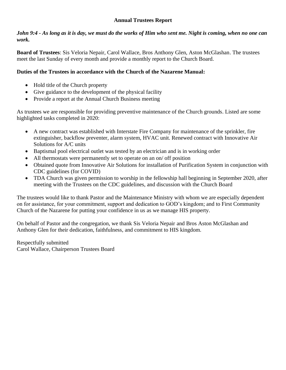# **Annual Trustees Report**

#### *John 9:4 - As long as it is day, we must do the works of Him who sent me. Night is coming, when no one can work.*

**Board of Trustees**: Sis Veloria Nepair, Carol Wallace, Bros Anthony Glen, Aston McGlashan. The trustees meet the last Sunday of every month and provide a monthly report to the Church Board.

# **Duties of the Trustees in accordance with the Church of the Nazarene Manual:**

- Hold title of the Church property
- Give guidance to the development of the physical facility
- Provide a report at the Annual Church Business meeting

As trustees we are responsible for providing preventive maintenance of the Church grounds. Listed are some highlighted tasks completed in 2020:

- A new contract was established with Interstate Fire Company for maintenance of the sprinkler, fire extinguisher, backflow preventer, alarm system, HVAC unit. Renewed contract with Innovative Air Solutions for A/C units
- Baptismal pool electrical outlet was tested by an electrician and is in working order
- All thermostats were permanently set to operate on an on/ off position
- Obtained quote from Innovative Air Solutions for installation of Purification System in conjunction with CDC guidelines (for COVID)
- TDA Church was given permission to worship in the fellowship hall beginning in September 2020, after meeting with the Trustees on the CDC guidelines, and discussion with the Church Board

The trustees would like to thank Pastor and the Maintenance Ministry with whom we are especially dependent on for assistance, for your commitment, support and dedication to GOD's kingdom; and to First Community Church of the Nazarene for putting your confidence in us as we manage HIS property.

On behalf of Pastor and the congregation, we thank Sis Veloria Nepair and Bros Aston McGlashan and Anthony Glen for their dedication, faithfulness, and commitment to HIS kingdom.

Respectfully submitted Carol Wallace, Chairperson Trustees Board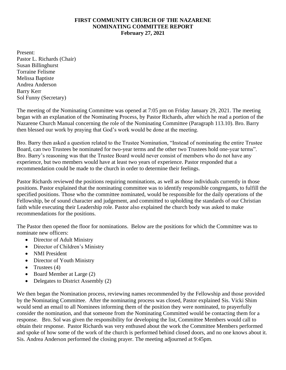#### **FIRST COMMUNITY CHURCH OF THE NAZARENE NOMINATING COMMITTEE REPORT February 27, 2021**

Present: Pastor L. Richards (Chair) Susan Billinghurst Torraine Felisme Melissa Baptiste Andrea Anderson Barry Kerr Sol Funny (Secretary)

The meeting of the Nominating Committee was opened at 7:05 pm on Friday January 29, 2021. The meeting began with an explanation of the Nominating Process, by Pastor Richards, after which he read a portion of the Nazarene Church Manual concerning the role of the Nominating Committee (Paragraph 113.10). Bro. Barry then blessed our work by praying that God's work would be done at the meeting.

Bro. Barry then asked a question related to the Trustee Nomination, "Instead of nominating the entire Trustee Board, can two Trustees be nominated for two-year terms and the other two Trustees hold one-year terms". Bro. Barry's reasoning was that the Trustee Board would never consist of members who do not have any experience, but two members would have at least two years of experience. Pastor responded that a recommendation could be made to the church in order to determine their feelings.

Pastor Richards reviewed the positions requiring nominations, as well as those individuals currently in those positions. Pastor explained that the nominating committee was to identify responsible congregants, to fulfill the specified positions. Those who the committee nominated, would be responsible for the daily operations of the Fellowship, be of sound character and judgement, and committed to upholding the standards of our Christian faith while executing their Leadership role. Pastor also explained the church body was asked to make recommendations for the positions.

The Pastor then opened the floor for nominations. Below are the positions for which the Committee was to nominate new officers:

- Director of Adult Ministry
- Director of Children's Ministry
- NMI President
- Director of Youth Ministry
- Trustees  $(4)$
- Board Member at Large (2)
- Delegates to District Assembly (2)

We then began the Nomination process, reviewing names recommended by the Fellowship and those provided by the Nominating Committee. After the nominating process was closed, Pastor explained Sis. Vicki Shim would send an email to all Nominees informing them of the position they were nominated, to prayerfully consider the nomination, and that someone from the Nominating Committed would be contacting them for a response. Bro. Sol was given the responsibility for developing the list, Committee Members would call to obtain their response. Pastor Richards was very enthused about the work the Committee Members performed and spoke of how some of the work of the church is performed behind closed doors, and no one knows about it. Sis. Andrea Anderson performed the closing prayer. The meeting adjourned at 9:45pm.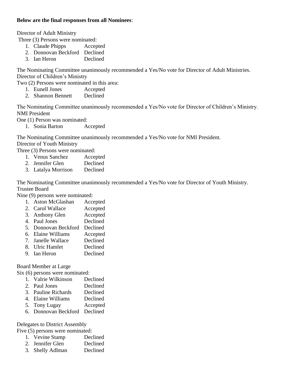### **Below are the final responses from all Nominees**:

Director of Adult Ministry

Three (3) Persons were nominated:

- 1. Claude Phipps Accepted
- 2. Donnovan Beckford Declined
- 3. Ian Heron Declined

The Nominating Committee unanimously recommended a Yes/No vote for Director of Adult Ministries. Director of Children's Ministry

Two (2) Persons were nominated in this area:

- 1. Eunell Jones Accepted
- 2. Shannon Bennett Declined

The Nominating Committee unanimously recommended a Yes/No vote for Director of Children's Ministry. NMI President

One (1) Person was nominated:

1. Sonia Barton Accepted

The Nominating Committee unanimously recommended a Yes/No vote for NMI President.

# Director of Youth Ministry

Three (3) Persons were nominated:

- 1. Venus Sanchez Accepted
- 2. Jennifer Glen Declined
- 3. Latalya Morrison Declined

The Nominating Committee unanimously recommended a Yes/No vote for Director of Youth Ministry. Trustee Board

Nine (9) persons were nominated:

- 1. Aston McGlashan Accepted
- 2. Carol Wallace Accepted
- 3. Anthony Glen Accepted
- 4. Paul Jones Declined
- 5. Donnovan Beckford Declined
- 6. Elaine Williams Accepted
- 7. Janelle Wallace Declined
- 8. Ulric Hamlet Declined
- 9. Ian Heron Declined

Board Member at Large

Six (6) persons were nominated:

- 1. Valrie Wilkinson Declined
- 2. Paul Jones Declined
- 3. Pauline Richards Declined
- 4. Elaine Williams Declined
- 5. Tony Lugay Accepted
- 6. Donnovan Beckford Declined

Delegates to District Assembly

Five (5) persons were nominated:

- 1. Vevine Stamp Declined
- 2. Jennifer Glen Declined
- 3. Shelly Adlman Declined